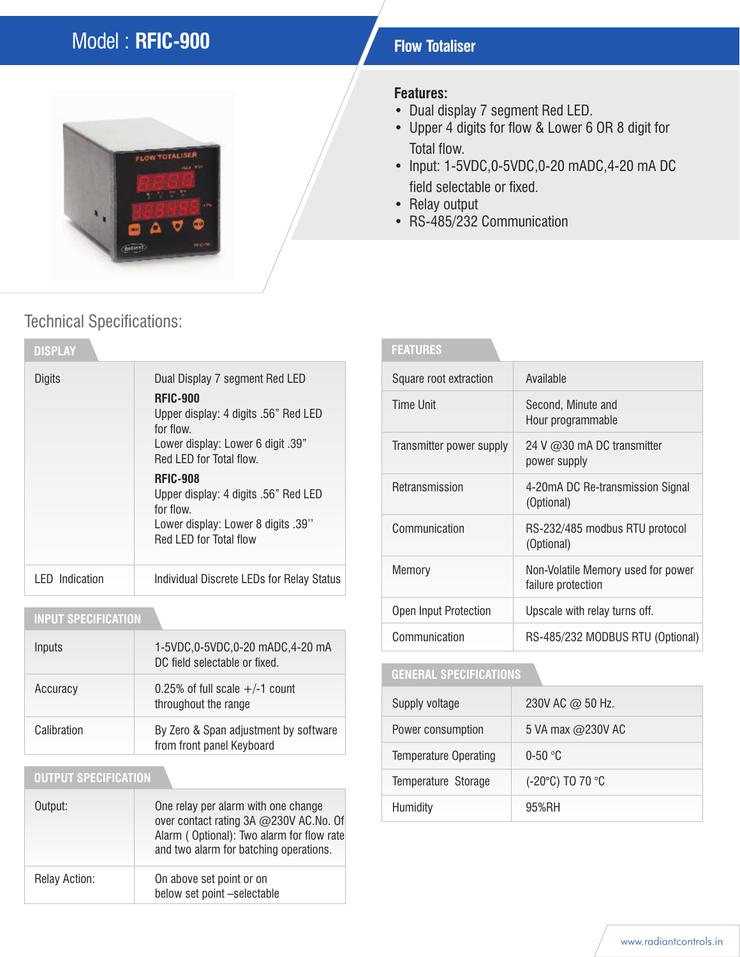## Model : **RFIC-900 Flow Totaliser**



## Technical Specifications:

| <b>DISPLAY</b>        |                                                                                                                                                                        |
|-----------------------|------------------------------------------------------------------------------------------------------------------------------------------------------------------------|
| Digits                | Dual Display 7 segment Red LED<br><b>RFIC-900</b><br>Upper display: 4 digits .56" Red LED<br>for flow.<br>Lower display: Lower 6 digit .39"<br>Red LED for Total flow. |
|                       | <b>RFIC-908</b><br>Upper display: 4 digits .56" Red LED<br>for flow.<br>Lower display: Lower 8 digits .39"<br>Red LED for Total flow                                   |
| <b>LED</b> Indication | Individual Discrete LEDs for Relay Status                                                                                                                              |

### **INPUT SPECIFICATION**

| Inputs      | 1-5VDC,0-5VDC,0-20 mADC,4-20 mA<br>DC field selectable or fixed.   |
|-------------|--------------------------------------------------------------------|
| Accuracy    | 0.25% of full scale $+/-1$ count<br>throughout the range           |
| Calibration | By Zero & Span adjustment by software<br>from front panel Keyboard |

#### **OUTPUT SPECIFICATION**

| Output:       | One relay per alarm with one change<br>over contact rating 3A @230V AC.No. Of<br>Alarm (Optional): Two alarm for flow rate<br>and two alarm for batching operations. |
|---------------|----------------------------------------------------------------------------------------------------------------------------------------------------------------------|
| Relay Action: | On above set point or on<br>below set point -selectable                                                                                                              |

#### **Features:**

- Dual display 7 segment Red LED.
- Upper 4 digits for flow & Lower 6 OR 8 digit for Total flow.
- Input: 1-5VDC,0-5VDC,0-20 mADC,4-20 mA DC field selectable or fixed.
- Relay output
- RS-485/232 Communication

| <b>FEATURES</b>          |                                                          |
|--------------------------|----------------------------------------------------------|
| Square root extraction   | Available                                                |
| <b>Time Unit</b>         | Second, Minute and<br>Hour programmable                  |
| Transmitter power supply | 24 V $@30$ mA DC transmitter<br>power supply             |
| Retransmission           | 4-20mA DC Re-transmission Signal<br>(Optional)           |
| Communication            | RS-232/485 modbus RTU protocol<br>(Optional)             |
| Memory                   | Non-Volatile Memory used for power<br>failure protection |
| Open Input Protection    | Upscale with relay turns off.                            |
| Communication            | RS-485/232 MODBUS RTU (Optional)                         |

### **GENERAL SPECIFICATIONS**

| Supply voltage               | 230V AC @ 50 Hz.  |
|------------------------------|-------------------|
| Power consumption            | 5 VA max @230V AC |
| <b>Temperature Operating</b> | $0-50$ °C         |
| Temperature Storage          | (-20°C) TO 70 °C  |
| Humidity                     | 95%RH             |

#### www.radiantcontrols.in